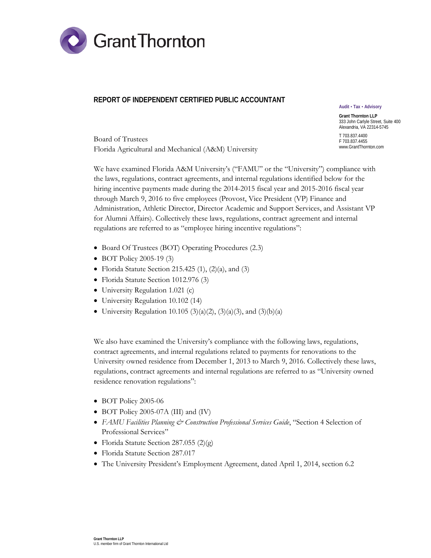

## **REPORT OF INDEPENDENT CERTIFIED PUBLIC ACCOUNTANT**

**Audit Tax Advisory**

**Grant Thornton LLP** 333 John Carlyle Street, Suite 400 Alexandria, VA 22314-5745 T 703.837.4400

F 703.837.4455 www.GrantThornton.com

Board of Trustees Florida Agricultural and Mechanical (A&M) University

We have examined Florida A&M University's ("FAMU" or the "University") compliance with the laws, regulations, contract agreements, and internal regulations identified below for the hiring incentive payments made during the 2014-2015 fiscal year and 2015-2016 fiscal year through March 9, 2016 to five employees (Provost, Vice President (VP) Finance and Administration, Athletic Director, Director Academic and Support Services, and Assistant VP for Alumni Affairs). Collectively these laws, regulations, contract agreement and internal regulations are referred to as "employee hiring incentive regulations":

- Board Of Trustees (BOT) Operating Procedures (2.3)
- BOT Policy 2005-19 (3)
- Florida Statute Section 215.425 (1), (2)(a), and (3)
- Florida Statute Section 1012.976 (3)
- University Regulation 1.021 (c)
- University Regulation 10.102 (14)
- University Regulation 10.105 (3)(a)(2), (3)(a)(3), and (3)(b)(a)

We also have examined the University's compliance with the following laws, regulations, contract agreements, and internal regulations related to payments for renovations to the University owned residence from December 1, 2013 to March 9, 2016. Collectively these laws, regulations, contract agreements and internal regulations are referred to as "University owned residence renovation regulations":

- BOT Policy 2005-06
- BOT Policy 2005-07A (III) and (IV)
- *FAMU Facilities Planning & Construction Professional Services Guide*, "Section 4 Selection of Professional Services"
- Florida Statute Section 287.055 (2)(g)
- Florida Statute Section 287.017
- The University President's Employment Agreement, dated April 1, 2014, section 6.2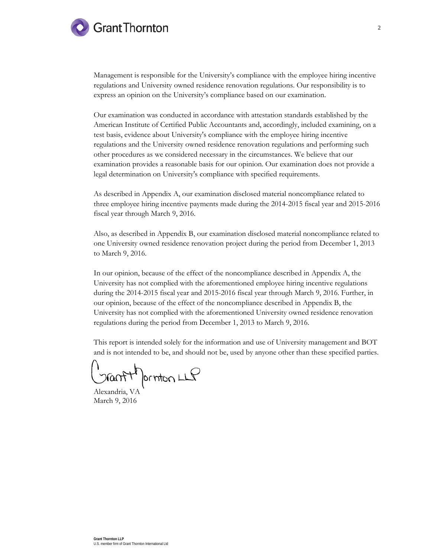# **Grant Thornton**

Management is responsible for the University's compliance with the employee hiring incentive regulations and University owned residence renovation regulations. Our responsibility is to express an opinion on the University's compliance based on our examination.

Our examination was conducted in accordance with attestation standards established by the American Institute of Certified Public Accountants and, accordingly, included examining, on a test basis, evidence about University's compliance with the employee hiring incentive regulations and the University owned residence renovation regulations and performing such other procedures as we considered necessary in the circumstances. We believe that our examination provides a reasonable basis for our opinion. Our examination does not provide a legal determination on University's compliance with specified requirements.

As described in Appendix A, our examination disclosed material noncompliance related to three employee hiring incentive payments made during the 2014-2015 fiscal year and 2015-2016 fiscal year through March 9, 2016.

Also, as described in Appendix B, our examination disclosed material noncompliance related to one University owned residence renovation project during the period from December 1, 2013 to March 9, 2016.

In our opinion, because of the effect of the noncompliance described in Appendix A, the University has not complied with the aforementioned employee hiring incentive regulations during the 2014-2015 fiscal year and 2015-2016 fiscal year through March 9, 2016. Further, in our opinion, because of the effect of the noncompliance described in Appendix B, the University has not complied with the aforementioned University owned residence renovation regulations during the period from December 1, 2013 to March 9, 2016.

This report is intended solely for the information and use of University management and BOT and is not intended to be, and should not be, used by anyone other than these specified parties.

Jantifornton LLP

Alexandria, VA March 9, 2016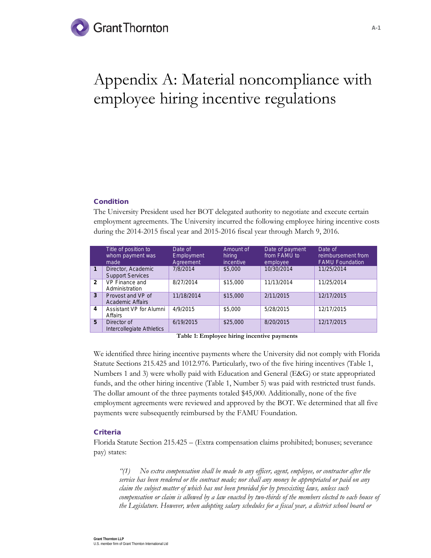# **Grant Thornton**

# Appendix A: Material noncompliance with employee hiring incentive regulations

### Condition

The University President used her BOT delegated authority to negotiate and execute certain employment agreements. The University incurred the following employee hiring incentive costs during the 2014-2015 fiscal year and 2015-2016 fiscal year through March 9, 2016.

|                | Title of position to<br>whom payment was<br>made | Date of<br>Employment<br>Agreement | Amount of<br>hiring<br>incentive | Date of payment<br>from FAMU to<br>employee | Date of<br>reimbursement from<br><b>FAMU Foundation</b> |
|----------------|--------------------------------------------------|------------------------------------|----------------------------------|---------------------------------------------|---------------------------------------------------------|
| $\mathbf{1}$   | Director, Academic<br><b>Support Services</b>    | 7/8/2014                           | \$5,000                          | 10/30/2014                                  | 11/25/2014                                              |
| $\overline{2}$ | VP Finance and<br>Administration                 | 8/27/2014                          | \$15,000                         | 11/13/2014                                  | 11/25/2014                                              |
| 3              | Provost and VP of<br><b>Academic Affairs</b>     | 11/18/2014                         | \$15,000                         | 2/11/2015                                   | 12/17/2015                                              |
| 4              | Assistant VP for Alumni<br>Affairs               | 4/9/2015                           | \$5,000                          | 5/28/2015                                   | 12/17/2015                                              |
| 5              | Director of<br>Intercollegiate Athletics         | 6/19/2015                          | \$25,000                         | 8/20/2015                                   | 12/17/2015                                              |

**Table 1: Employee hiring incentive payments**

We identified three hiring incentive payments where the University did not comply with Florida Statute Sections 215.425 and 1012.976. Particularly, two of the five hiring incentives (Table 1, Numbers 1 and 3) were wholly paid with Education and General (E&G) or state appropriated funds, and the other hiring incentive (Table 1, Number 5) was paid with restricted trust funds. The dollar amount of the three payments totaled \$45,000. Additionally, none of the five employment agreements were reviewed and approved by the BOT. We determined that all five payments were subsequently reimbursed by the FAMU Foundation.

### **Criteria**

Florida Statute Section 215.425 – (Extra compensation claims prohibited; bonuses; severance pay) states:

*"(1) No extra compensation shall be made to any officer, agent, employee, or contractor after the service has been rendered or the contract made; nor shall any money be appropriated or paid on any claim the subject matter of which has not been provided for by preexisting laws, unless such compensation or claim is allowed by a law enacted by two-thirds of the members elected to each house of the Legislature. However, when adopting salary schedules for a fiscal year, a district school board or*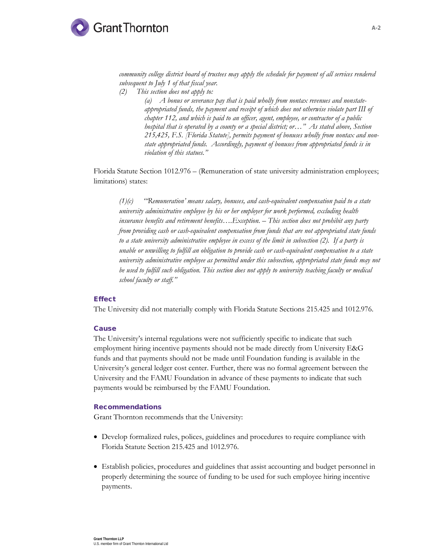

*community college district board of trustees may apply the schedule for payment of all services rendered subsequent to July 1 of that fiscal year.*

*(2) This section does not apply to:*

*(a) A bonus or severance pay that is paid wholly from nontax revenues and nonstateappropriated funds, the payment and receipt of which does not otherwise violate part III of chapter 112, and which is paid to an officer, agent, employee, or contractor of a public hospital that is operated by a county or a special district; or…" As stated above, Section 215,425, F.S. [Florida Statute], permits payment of bonuses wholly from nontax and nonstate appropriated funds. Accordingly, payment of bonuses from appropriated funds is in violation of this statues."*

Florida Statute Section 1012.976 – (Remuneration of state university administration employees; limitations) states:

*(1)(c) "'Remuneration' means salary, bonuses, and cash-equivalent compensation paid to a state university administrative employee by his or her employer for work performed, excluding health insurance benefits and retirement benefits….Exception. – This section does not prohibit any party from providing cash or cash-equivalent compensation from funds that are not appropriated state funds to a state university administrative employee in excess of the limit in subsection (2). If a party is unable or unwilling to fulfill an obligation to provide cash or cash-equivalent compensation to a state university administrative employee as permitted under this subsection, appropriated state funds may not be used to fulfill such obligation. This section does not apply to university teaching faculty or medical school faculty or staff."*

#### **Effect**

The University did not materially comply with Florida Statute Sections 215.425 and 1012.976.

#### **Cause**

The University's internal regulations were not sufficiently specific to indicate that such employment hiring incentive payments should not be made directly from University E&G funds and that payments should not be made until Foundation funding is available in the University's general ledger cost center. Further, there was no formal agreement between the University and the FAMU Foundation in advance of these payments to indicate that such payments would be reimbursed by the FAMU Foundation.

#### Recommendations

Grant Thornton recommends that the University:

- Develop formalized rules, polices, guidelines and procedures to require compliance with Florida Statute Section 215.425 and 1012.976.
- Establish policies, procedures and guidelines that assist accounting and budget personnel in properly determining the source of funding to be used for such employee hiring incentive payments.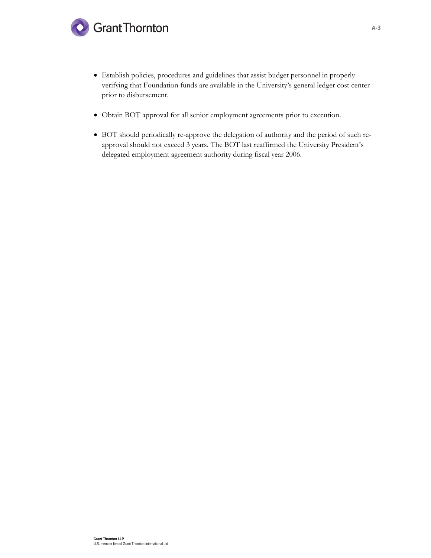

- Establish policies, procedures and guidelines that assist budget personnel in properly verifying that Foundation funds are available in the University's general ledger cost center prior to disbursement.
- Obtain BOT approval for all senior employment agreements prior to execution.
- BOT should periodically re-approve the delegation of authority and the period of such reapproval should not exceed 3 years. The BOT last reaffirmed the University President's delegated employment agreement authority during fiscal year 2006.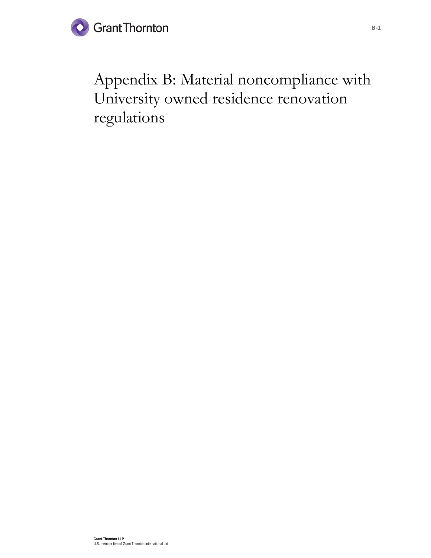

Appendix B: Material noncompliance with University owned residence renovation regulations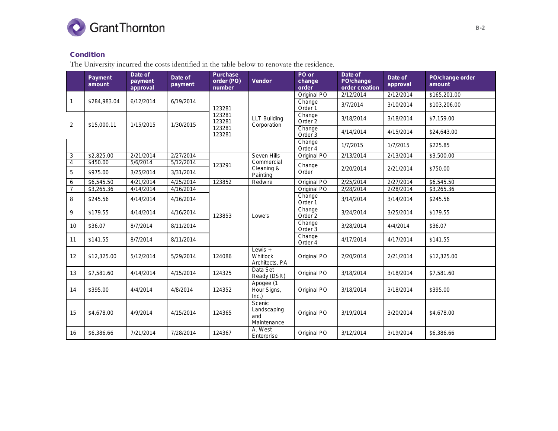

# Condition

The University incurred the costs identified in the table below to renovate the residence.

|                | <b>Payment</b><br>amount | Date of<br>payment<br>approval | Date of<br>payment     | <b>Purchase</b><br>order (PO)<br>number | Vendor                                      | PO or<br>change<br>order     | Date of<br>PO/change<br>order creation | Date of<br>approval          | PO/change order<br>amount |                              |           |
|----------------|--------------------------|--------------------------------|------------------------|-----------------------------------------|---------------------------------------------|------------------------------|----------------------------------------|------------------------------|---------------------------|------------------------------|-----------|
|                |                          |                                |                        |                                         |                                             | Original PO                  | 2/12/2014                              | 2/12/2014                    | \$165,201.00              |                              |           |
| 1              | \$284,983.04             | 6/12/2014                      | 6/19/2014              | 123281                                  |                                             | Change<br>Order <sup>1</sup> | 3/7/2014                               | 3/10/2014                    | \$103,206.00              |                              |           |
| $\overline{2}$ | \$15,000.11              | 1/15/2015                      | 1/30/2015              | 123281<br>123281                        | <b>LLT Building</b><br>Corporation          | Change<br>Order <sub>2</sub> | 3/18/2014                              | 3/18/2014                    | \$7,159.00                |                              |           |
|                |                          |                                |                        | 123281<br>123281                        |                                             | Change<br>Order 3            | 4/14/2014                              | 4/15/2014                    | \$24,643.00               |                              |           |
|                |                          |                                |                        |                                         |                                             | Change<br>Order 4            | 1/7/2015                               | 1/7/2015                     | \$225.85                  |                              |           |
| 3              | \$2,825.00               | 2/21/2014                      | 2/27/2014              |                                         | Seven Hills                                 | Original PO                  | 2/13/2014                              | 2/13/2014                    | \$3,500.00                |                              |           |
| 4<br>5         | \$450.00<br>\$975.00     | 5/6/2014<br>3/25/2014          | 5/12/2014<br>3/31/2014 | 123291                                  | Commercial<br>Cleaning &<br>Painting        | Change<br>Order              | 2/20/2014                              | 2/21/2014                    | \$750.00                  |                              |           |
| 6              | \$6,545.50               | 4/21/2014                      | 4/25/2014              | 123852                                  | Redwire                                     | Original PO                  | 2/25/2014                              | 2/27/2014                    | \$6,545.50                |                              |           |
| $\overline{7}$ | \$3,265.36               | 4/14/2014                      | 4/16/2014              |                                         |                                             | Original PO                  | 2/28/2014                              | 2/28/2014                    | \$3,265.36                |                              |           |
| 8              | \$245.56                 | 4/14/2014                      | 4/16/2014              | 123853                                  |                                             | Change<br>Order <sub>1</sub> | 3/14/2014                              | 3/14/2014                    | \$245.56                  |                              |           |
| 9              | \$179.55                 | 4/14/2014                      | 4/16/2014              |                                         |                                             |                              | Lowe's                                 | Change<br>Order <sub>2</sub> | 3/24/2014                 | 3/25/2014                    | \$179.55  |
| 10             | \$36.07                  | 8/7/2014                       | 8/11/2014              |                                         |                                             |                              |                                        |                              |                           | Change<br>Order <sub>3</sub> | 3/28/2014 |
| 11             | \$141.55                 | 8/7/2014                       | 8/11/2014              |                                         |                                             | Change<br>Order 4            | 4/17/2014                              | 4/17/2014                    | \$141.55                  |                              |           |
| 12             | \$12,325.00              | 5/12/2014                      | 5/29/2014              | 124086                                  | Lewis $+$<br>Whitlock<br>Architects, PA     | Original PO                  | 2/20/2014                              | 2/21/2014                    | \$12,325.00               |                              |           |
| 13             | \$7,581.60               | 4/14/2014                      | 4/15/2014              | 124325                                  | Data Set<br>Ready (DSR)                     | Original PO                  | 3/18/2014                              | 3/18/2014                    | \$7,581.60                |                              |           |
| 14             | \$395.00                 | 4/4/2014                       | 4/8/2014               | 124352                                  | Apogee (1<br>Hour Signs,<br>Inc.)           | Original PO                  | 3/18/2014                              | 3/18/2014                    | \$395.00                  |                              |           |
| 15             | \$4,678.00               | 4/9/2014                       | 4/15/2014              | 124365                                  | Scenic<br>Landscaping<br>and<br>Maintenance | Original PO                  | 3/19/2014                              | 3/20/2014                    | \$4,678.00                |                              |           |
| 16             | \$6,386.66               | 7/21/2014                      | 7/28/2014              | 124367                                  | A. West<br>Enterprise                       | Original PO                  | 3/12/2014                              | 3/19/2014                    | \$6,386.66                |                              |           |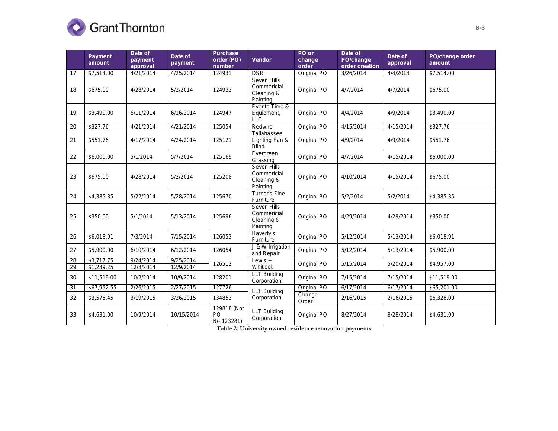

|    | <b>Payment</b><br>amount | Date of<br>payment<br>approval | Date of<br>payment | <b>Purchase</b><br>order (PO)<br>number | <b>Vendor</b>                                        | PO or<br>change<br>order | Date of<br>PO/change<br>order creation | Date of<br>approval | PO/change order<br>amount |
|----|--------------------------|--------------------------------|--------------------|-----------------------------------------|------------------------------------------------------|--------------------------|----------------------------------------|---------------------|---------------------------|
| 17 | \$7,514.00               | 4/21/2014                      | 4/25/2014          | 124931                                  | <b>DSR</b>                                           | Original PO              | 3/26/2014                              | 4/4/2014            | \$7,514.00                |
| 18 | \$675.00                 | 4/28/2014                      | 5/2/2014           | 124933                                  | Seven Hills<br>Commericial<br>Cleaning &<br>Painting | Original PO              | 4/7/2014                               | 4/7/2014            | \$675.00                  |
| 19 | \$3,490.00               | 6/11/2014                      | 6/16/2014          | 124947                                  | Everite Time &<br>Equipment,<br><b>LLC</b>           | Original PO              | 4/4/2014                               | 4/9/2014            | \$3,490.00                |
| 20 | \$327.76                 | 4/21/2014                      | 4/21/2014          | 125054                                  | Redwire                                              | Original PO              | 4/15/2014                              | 4/15/2014           | \$327.76                  |
| 21 | \$551.76                 | 4/17/2014                      | 4/24/2014          | 125121                                  | Tallahassee<br>Lighting Fan &<br><b>Blind</b>        | Original PO              | 4/9/2014                               | 4/9/2014            | \$551.76                  |
| 22 | \$6,000.00               | 5/1/2014                       | 5/7/2014           | 125169                                  | Evergreen<br>Grassing                                | Original PO              | 4/7/2014                               | 4/15/2014           | \$6,000.00                |
| 23 | \$675.00                 | 4/28/2014                      | 5/2/2014           | 125208                                  | Seven Hills<br>Commericial<br>Cleaning &<br>Painting | Original PO              | 4/10/2014                              | 4/15/2014           | \$675.00                  |
| 24 | \$4,385.35               | 5/22/2014                      | 5/28/2014          | 125670                                  | <b>Turner's Fine</b><br>Furniture                    | Original PO              | 5/2/2014                               | 5/2/2014            | \$4,385.35                |
| 25 | \$350.00                 | 5/1/2014                       | 5/13/2014          | 125696                                  | Seven Hills<br>Commericial<br>Cleaning &<br>Painting | Original PO              | 4/29/2014                              | 4/29/2014           | \$350.00                  |
| 26 | \$6,018.91               | 7/3/2014                       | 7/15/2014          | 126053                                  | Haverty's<br>Furniture                               | Original PO              | 5/12/2014                              | 5/13/2014           | \$6,018.91                |
| 27 | \$5,900.00               | 6/10/2014                      | 6/12/2014          | 126054                                  | J & W Irrigation<br>and Repair                       | Original PO              | 5/12/2014                              | 5/13/2014           | \$5,900.00                |
| 28 | \$3,717.75               | 9/24/2014                      | 9/25/2014          |                                         | Lewis $+$                                            | Original PO              | 5/15/2014                              | 5/20/2014           | \$4,957.00                |
| 29 | \$1,239.25               | 12/8/2014                      | 12/9/2014          | 126512                                  | Whitlock                                             |                          |                                        |                     |                           |
| 30 | \$11,519.00              | 10/2/2014                      | 10/9/2014          | 128201                                  | <b>LLT Building</b><br>Corporation                   | Original PO              | 7/15/2014                              | 7/15/2014           | \$11,519.00               |
| 31 | \$67,952.55              | 2/26/2015                      | 2/27/2015          | 127726                                  | <b>LLT Building</b>                                  | Original PO              | 6/17/2014                              | 6/17/2014           | \$65,201.00               |
| 32 | \$3,576.45               | 3/19/2015                      | 3/26/2015          | 134853                                  | Corporation                                          | Change<br>Order          | 2/16/2015                              | 2/16/2015           | \$6,328.00                |
| 33 | \$4,631.00               | 10/9/2014                      | 10/15/2014         | 129818 (Not<br>PO<br>No.123281)         | <b>LLT Building</b><br>Corporation                   | Original PO              | 8/27/2014                              | 8/28/2014           | \$4,631.00                |

**Table 2: University owned residence renovation payments**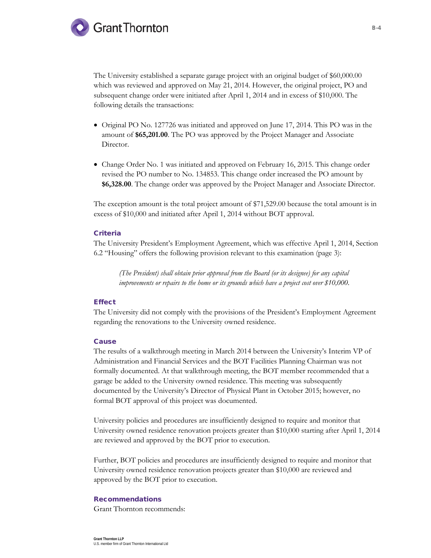

The University established a separate garage project with an original budget of \$60,000.00 which was reviewed and approved on May 21, 2014. However, the original project, PO and subsequent change order were initiated after April 1, 2014 and in excess of \$10,000. The following details the transactions:

- Original PO No. 127726 was initiated and approved on June 17, 2014. This PO was in the amount of **\$65,201.00**. The PO was approved by the Project Manager and Associate Director.
- Change Order No. 1 was initiated and approved on February 16, 2015. This change order revised the PO number to No. 134853. This change order increased the PO amount by **\$6,328.00**. The change order was approved by the Project Manager and Associate Director.

The exception amount is the total project amount of \$71,529.00 because the total amount is in excess of \$10,000 and initiated after April 1, 2014 without BOT approval.

#### **Criteria**

The University President's Employment Agreement, which was effective April 1, 2014, Section 6.2 "Housing" offers the following provision relevant to this examination (page 3):

*(The President) shall obtain prior approval from the Board (or its designee) for any capital improvements or repairs to the home or its grounds which have a project cost over \$10,000.*

#### **Effect**

The University did not comply with the provisions of the President's Employment Agreement regarding the renovations to the University owned residence.

#### Cause

The results of a walkthrough meeting in March 2014 between the University's Interim VP of Administration and Financial Services and the BOT Facilities Planning Chairman was not formally documented. At that walkthrough meeting, the BOT member recommended that a garage be added to the University owned residence. This meeting was subsequently documented by the University's Director of Physical Plant in October 2015; however, no formal BOT approval of this project was documented.

University policies and procedures are insufficiently designed to require and monitor that University owned residence renovation projects greater than \$10,000 starting after April 1, 2014 are reviewed and approved by the BOT prior to execution.

Further, BOT policies and procedures are insufficiently designed to require and monitor that University owned residence renovation projects greater than \$10,000 are reviewed and approved by the BOT prior to execution.

#### Recommendations

Grant Thornton recommends: